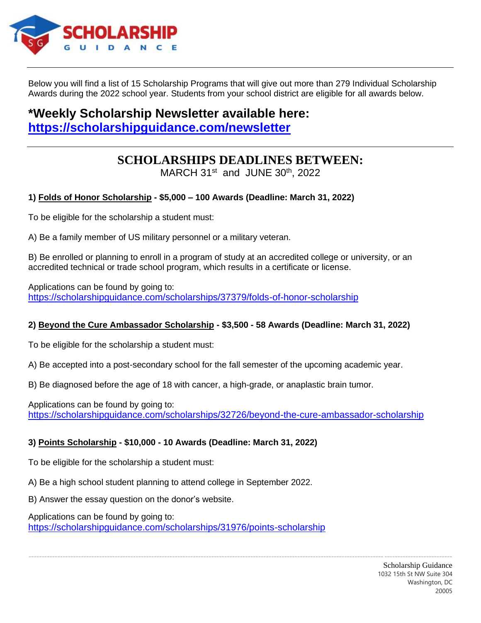

Below you will find a list of 15 Scholarship Programs that will give out more than 279 Individual Scholarship Awards during the 2022 school year. Students from your school district are eligible for all awards below.

# **\*Weekly Scholarship Newsletter available here: <https://scholarshipguidance.com/newsletter>**

# **SCHOLARSHIPS DEADLINES BETWEEN:**

MARCH 31<sup>st</sup> and JUNE 30<sup>th</sup>, 2022

# **1) Folds of Honor Scholarship - \$5,000 – 100 Awards (Deadline: March 31, 2022)**

To be eligible for the scholarship a student must:

A) Be a family member of US military personnel or a military veteran.

B) Be enrolled or planning to enroll in a program of study at an accredited college or university, or an accredited technical or trade school program, which results in a certificate or license.

Applications can be found by going to: <https://scholarshipguidance.com/scholarships/37379/folds-of-honor-scholarship>

# **2) Beyond the Cure Ambassador Scholarship - \$3,500 - 58 Awards (Deadline: March 31, 2022)**

To be eligible for the scholarship a student must:

A) Be accepted into a post-secondary school for the fall semester of the upcoming academic year.

B) Be diagnosed before the age of 18 with cancer, a high-grade, or anaplastic brain tumor.

Applications can be found by going to: <https://scholarshipguidance.com/scholarships/32726/beyond-the-cure-ambassador-scholarship>

------------------------------------------------------------------------------------------------------------------------------------------------------------------

# **3) Points Scholarship - \$10,000 - 10 Awards (Deadline: March 31, 2022)**

To be eligible for the scholarship a student must:

A) Be a high school student planning to attend college in September 2022.

B) Answer the essay question on the donor's website.

Applications can be found by going to:

<https://scholarshipguidance.com/scholarships/31976/points-scholarship>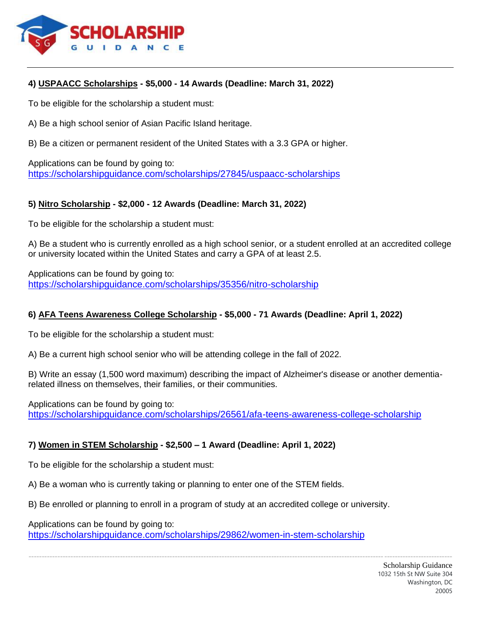

#### **4) USPAACC Scholarships - \$5,000 - 14 Awards (Deadline: March 31, 2022)**

To be eligible for the scholarship a student must:

A) Be a high school senior of Asian Pacific Island heritage.

B) Be a citizen or permanent resident of the United States with a 3.3 GPA or higher.

Applications can be found by going to: <https://scholarshipguidance.com/scholarships/27845/uspaacc-scholarships>

#### **5) Nitro Scholarship - \$2,000 - 12 Awards (Deadline: March 31, 2022)**

To be eligible for the scholarship a student must:

A) Be a student who is currently enrolled as a high school senior, or a student enrolled at an accredited college or university located within the United States and carry a GPA of at least 2.5.

Applications can be found by going to: <https://scholarshipguidance.com/scholarships/35356/nitro-scholarship>

#### **6) AFA Teens Awareness College Scholarship - \$5,000 - 71 Awards (Deadline: April 1, 2022)**

To be eligible for the scholarship a student must:

A) Be a current high school senior who will be attending college in the fall of 2022.

B) Write an essay (1,500 word maximum) describing the impact of Alzheimer's disease or another dementiarelated illness on themselves, their families, or their communities.

------------------------------------------------------------------------------------------------------------------------------------------------------------------

Applications can be found by going to: <https://scholarshipguidance.com/scholarships/26561/afa-teens-awareness-college-scholarship>

# **7) Women in STEM Scholarship - \$2,500 – 1 Award (Deadline: April 1, 2022)**

To be eligible for the scholarship a student must:

A) Be a woman who is currently taking or planning to enter one of the STEM fields.

B) Be enrolled or planning to enroll in a program of study at an accredited college or university.

Applications can be found by going to:

<https://scholarshipguidance.com/scholarships/29862/women-in-stem-scholarship>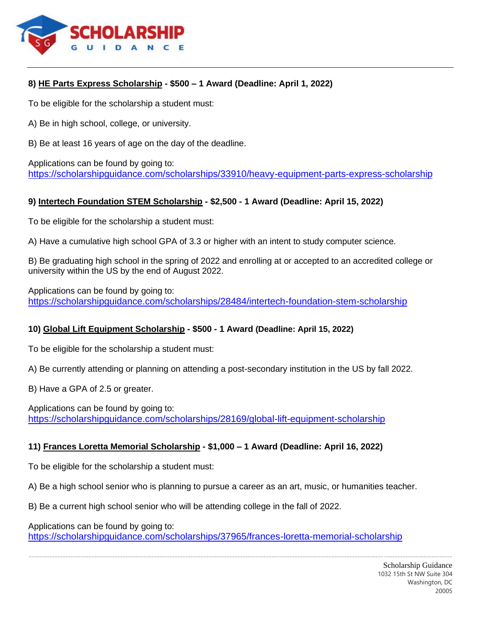

# **8) HE Parts Express Scholarship - \$500 – 1 Award (Deadline: April 1, 2022)**

To be eligible for the scholarship a student must:

A) Be in high school, college, or university.

B) Be at least 16 years of age on the day of the deadline.

Applications can be found by going to: <https://scholarshipguidance.com/scholarships/33910/heavy-equipment-parts-express-scholarship>

# **9) Intertech Foundation STEM Scholarship - \$2,500 - 1 Award (Deadline: April 15, 2022)**

To be eligible for the scholarship a student must:

A) Have a cumulative high school GPA of 3.3 or higher with an intent to study computer science.

B) Be graduating high school in the spring of 2022 and enrolling at or accepted to an accredited college or university within the US by the end of August 2022.

Applications can be found by going to: <https://scholarshipguidance.com/scholarships/28484/intertech-foundation-stem-scholarship>

# **10) Global Lift Equipment Scholarship - \$500 - 1 Award (Deadline: April 15, 2022)**

To be eligible for the scholarship a student must:

A) Be currently attending or planning on attending a post-secondary institution in the US by fall 2022.

B) Have a GPA of 2.5 or greater.

Applications can be found by going to: <https://scholarshipguidance.com/scholarships/28169/global-lift-equipment-scholarship>

# **11) Frances Loretta Memorial Scholarship - \$1,000 – 1 Award (Deadline: April 16, 2022)**

To be eligible for the scholarship a student must:

A) Be a high school senior who is planning to pursue a career as an art, music, or humanities teacher.

B) Be a current high school senior who will be attending college in the fall of 2022.

Applications can be found by going to:

<https://scholarshipguidance.com/scholarships/37965/frances-loretta-memorial-scholarship>

------------------------------------------------------------------------------------------------------------------------------------------------------------------